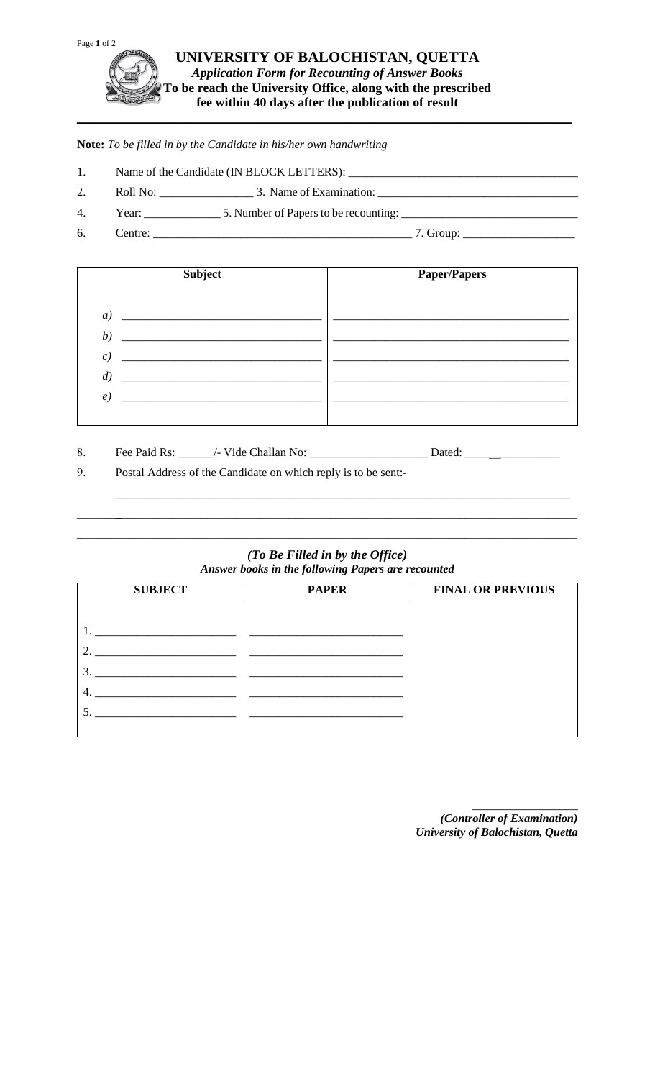

**Note:** *To be filled in by the Candidate in his/her own handwriting* 

- 1. Name of the Candidate (IN BLOCK LETTERS): \_\_\_\_\_\_\_\_\_\_\_\_\_\_\_\_\_\_\_\_\_\_\_\_\_\_\_\_\_\_\_\_\_\_\_\_\_\_\_
- 2. Roll No: \_\_\_\_\_\_\_\_\_\_\_\_\_\_\_\_ 3. Name of Examination: \_\_\_\_\_\_\_\_\_\_\_\_\_\_\_\_\_\_\_\_\_\_\_\_\_\_\_\_\_\_\_\_\_\_
- 4. Year: \_\_\_\_\_\_\_\_\_\_\_\_\_ 5. Number of Papers to be recounting: \_\_\_\_\_\_\_\_\_\_\_\_\_\_\_\_\_\_\_\_\_\_\_\_\_\_\_\_\_\_
- 6. Centre: \_\_\_\_\_\_\_\_\_\_\_\_\_\_\_\_\_\_\_\_\_\_\_\_\_\_\_\_\_\_\_\_\_\_\_\_\_\_\_\_\_\_\_\_ 7. Group: \_\_\_\_\_\_\_\_\_\_\_\_\_\_\_\_\_\_\_

| <b>Subject</b>    | <b>Paper/Papers</b> |  |
|-------------------|---------------------|--|
|                   |                     |  |
| a)                |                     |  |
| b)                |                     |  |
| $\epsilon$ )      |                     |  |
| $\left( d\right)$ |                     |  |
| $\epsilon$ )      |                     |  |
|                   |                     |  |
|                   |                     |  |

| 8. | Fee Paid Rs:<br>. | Thallan No:<br>Vide (<br>,  _ | . Jatec |
|----|-------------------|-------------------------------|---------|
|    |                   |                               |         |

9. Postal Address of the Candidate on which reply is to be sent:-

## *(To Be Filled in by the Office) Answer books in the following Papers are recounted*

\_\_\_\_\_\_\_\_\_ \_ \_\_\_\_\_\_\_\_\_\_\_\_\_\_\_\_\_\_\_\_\_\_\_\_\_\_\_\_\_\_\_\_\_\_\_\_\_\_\_\_\_\_\_\_\_\_\_\_\_\_\_\_\_\_\_\_\_\_\_\_\_\_\_\_\_\_\_\_\_\_\_\_\_\_\_\_ \_\_\_\_\_\_\_\_\_\_\_\_\_\_\_\_\_\_\_\_\_\_\_\_\_\_\_\_\_\_\_\_\_\_\_\_\_\_\_\_\_\_\_\_\_\_\_\_\_\_\_\_\_\_\_\_\_\_\_\_\_\_\_\_\_\_\_\_\_\_\_\_\_\_\_\_\_\_\_\_\_\_\_\_\_

\_\_\_\_\_\_\_\_\_\_\_\_\_\_\_\_\_\_\_\_\_\_\_\_\_\_\_\_\_\_\_\_\_\_\_\_\_\_\_\_\_\_\_\_\_\_\_\_\_\_\_\_\_\_\_\_\_\_\_\_\_\_\_\_\_\_\_\_\_\_\_\_\_\_\_\_\_

| <b>PAPER</b> | <b>FINAL OR PREVIOUS</b> |
|--------------|--------------------------|
|              |                          |
|              |                          |
|              |                          |
|              |                          |
|              |                          |
|              |                          |
|              |                          |
|              |                          |

*(Controller of Examination) University of Balochistan, Quetta* 

\_\_\_\_\_\_\_\_\_\_\_\_\_\_\_\_\_\_